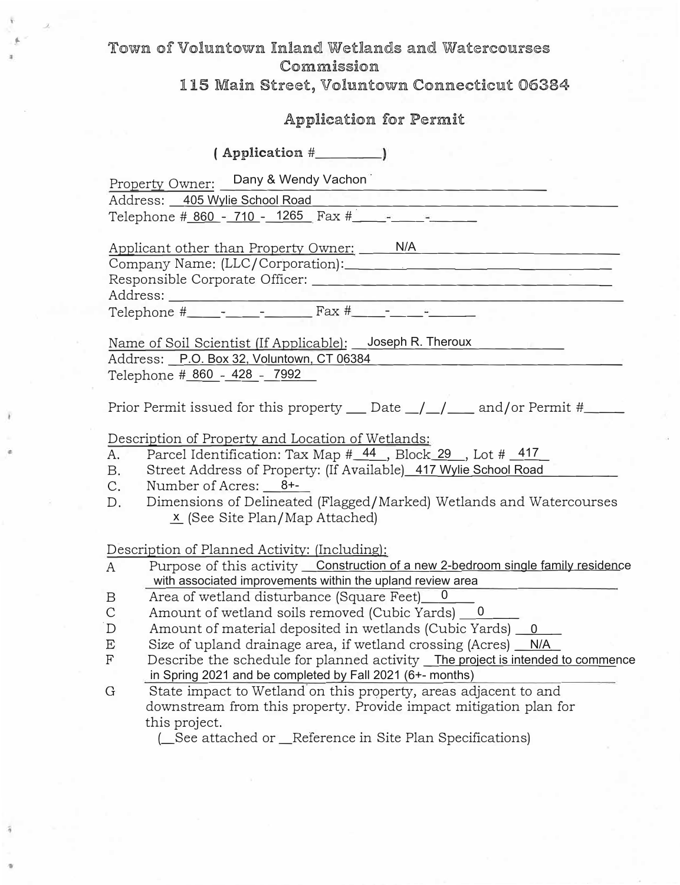## *J-* **Toiwn of Voluntown Jinland WetXandts and Watercourses Commission**

### 115 Main Street, Voluntown Connecticut 06384

# **Application for Permit**

**( Application** # \_\_\_ \_

Property Owner: Dany & Wendy Vachon

Address: \_\_\_\_\_\_\_\_\_\_\_\_\_\_\_\_\_\_\_\_\_\_\_\_\_\_\_ \_ 405 Wylie School Road

Telephone # \_\_ -\_\_ -\_\_\_ Fax#\_· \_\_\_\_\_\_\_\_ \_ 860 710 1265

Applicant other than Property Owner: \_\_\_\_\_\_\_\_\_\_\_\_\_\_\_ \_ N/A Company Name: (LLC/Corporation):. \_\_\_ �-------------

Responsible Corporate Officer:

Address:

---------------------------- Telephone # \_\_ -\_\_ -\_\_\_ Fax # \_\_ -\_\_\_\_ \_

Name of Soil Scientist *(If Applicable):* Joseph R. Theroux Address: \_\_\_\_\_\_\_\_\_\_\_\_\_\_\_\_\_\_\_\_\_\_\_\_\_\_\_ \_ P.O. Box 32, Voluntown, CT 06384 Telephone # 860 - 428 - 7992

Prior Permit issued for this property  $\_\_$ Date  $\_\/$   $\_\/$  and/or Permit #  $\_\_$ 

Description of Property and Location of Wetlands:

- A. Parcel Identification: Tax Map #\_44\_, Block\_29\_, Lot #\_417\_
- B. Street Address of Property: (If Available<u>) 417 Wylie School Road </u>
- C. Number of Acres: 8+-
- D. Dimensions of Delineated (Flagged/Marked) Wetlands and Watercourses <u>x</u> (See Site Plan/Map Attached)

Description of Planned Activity: (Including):

- A Purpose of this activity <u>Construction of a new 2-bedroom single family residen</u>ce with associated improvements within the upland review area
- B Area of wetland disturbance (Square Feet)\_0\_\_\_
- C Amount of wetland soils removed (Cubic Yards) <u>\_\_0</u> \_\_\_\_
- .D Amount of material deposited in wetlands (Cubic Yards) \_\_0 \_\_\_
- E Size of upland drainage area, if wetland crossing (Acres) <u>\_\_N/A\_</u>
- F Describe the schedule for planned activity <u>The project is intended to comme</u>nce in Spring 2021 and be completed by Fall 2021 (6+- months)
- G State impact to Wetland on this property, areas adjacent to and downstream from this property. Provide impact mitigation plan for this project.

(\_See attached or \_Reference in Site Plan Specifications)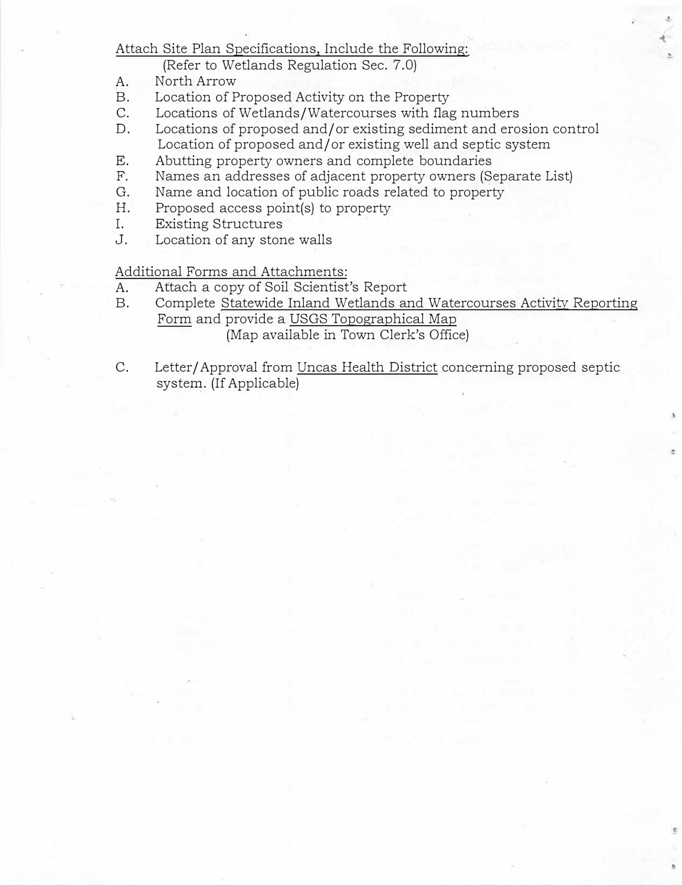### Attach Site Plan Specifications, Include the Following:

(Refer to Wetlands Regulation Sec. 7.0)

- A. North Arrow
- B. Location of Proposed Activity on the Property
- C. Locations of Wetlands/Watercourses with flag numbers
- D. Locations of proposed and/ or existing sediment and erosion control Location of proposed and/or existing well and septic system
- E. Abutting property owners and complete boundaries
- F. Names an addresses of adjacent property owners (Separate List)
- G. Name and location of public roads related to property
- H. Proposed access point(s) to property
- I. Existing Structures
- J. Location of any stone walls

Additional Forms and Attachments:

- A. Attach a copy of Soil Scientist's Report
- B. Complete Statewide Inland Wetlands and Watercourses Activity Reporting Form and provide a USGS Topographical Map (Map available in Town Clerk's Office)
- C. Letter/ Approval from Uncas Health District concerning proposed septic system. (If Applicable)